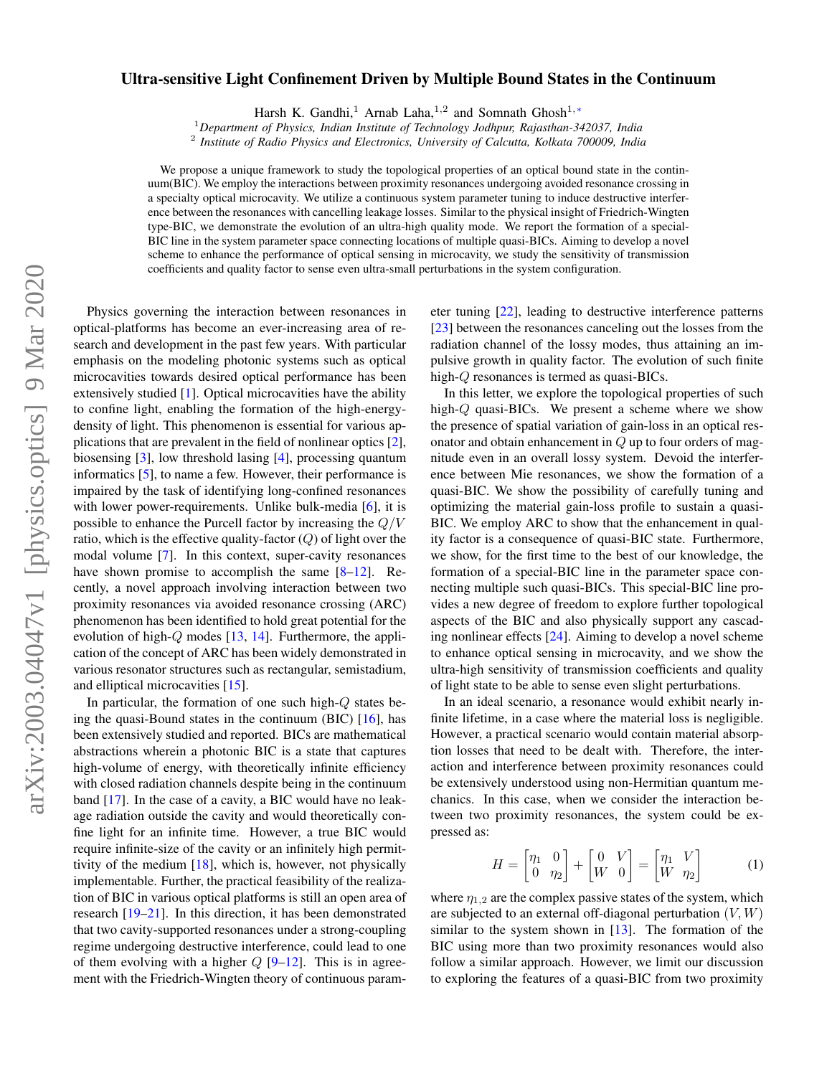## $arXiv:2003.04047v1$  [physics.optics] 9 Mar 2020 arXiv:2003.04047v1 [physics.optics] 9 Mar 2020

## Ultra-sensitive Light Confinement Driven by Multiple Bound States in the Continuum

Harsh K. Gandhi,<sup>1</sup> Arnab Laha,<sup>1,2</sup> and Somnath Ghosh<sup>1,\*</sup>

<sup>1</sup>*Department of Physics, Indian Institute of Technology Jodhpur, Rajasthan-342037, India*

2 *Institute of Radio Physics and Electronics, University of Calcutta, Kolkata 700009, India*

We propose a unique framework to study the topological properties of an optical bound state in the continuum(BIC). We employ the interactions between proximity resonances undergoing avoided resonance crossing in a specialty optical microcavity. We utilize a continuous system parameter tuning to induce destructive interference between the resonances with cancelling leakage losses. Similar to the physical insight of Friedrich-Wingten type-BIC, we demonstrate the evolution of an ultra-high quality mode. We report the formation of a special-BIC line in the system parameter space connecting locations of multiple quasi-BICs. Aiming to develop a novel scheme to enhance the performance of optical sensing in microcavity, we study the sensitivity of transmission coefficients and quality factor to sense even ultra-small perturbations in the system configuration.

Physics governing the interaction between resonances in optical-platforms has become an ever-increasing area of research and development in the past few years. With particular emphasis on the modeling photonic systems such as optical microcavities towards desired optical performance has been extensively studied [1]. Optical microcavities have the ability to confine light, enabling the formation of the high-energydensity of light. This phenomenon is essential for various applications that are prevalent in the field of nonlinear optics [2], biosensing [3], low threshold lasing [4], processing quantum informatics [5], to name a few. However, their performance is impaired by the task of identifying long-confined resonances with lower power-requirements. Unlike bulk-media [6], it is possible to enhance the Purcell factor by increasing the  $Q/V$ ratio, which is the effective quality-factor  $(Q)$  of light over the modal volume [7]. In this context, super-cavity resonances have shown promise to accomplish the same [8–12]. Recently, a novel approach involving interaction between two proximity resonances via avoided resonance crossing (ARC) phenomenon has been identified to hold great potential for the evolution of high- $Q$  modes  $[13, 14]$ . Furthermore, the application of the concept of ARC has been widely demonstrated in various resonator structures such as rectangular, semistadium, and elliptical microcavities [15].

In particular, the formation of one such high-Q states being the quasi-Bound states in the continuum (BIC)  $[16]$ , has been extensively studied and reported. BICs are mathematical abstractions wherein a photonic BIC is a state that captures high-volume of energy, with theoretically infinite efficiency with closed radiation channels despite being in the continuum band [17]. In the case of a cavity, a BIC would have no leakage radiation outside the cavity and would theoretically confine light for an infinite time. However, a true BIC would require infinite-size of the cavity or an infinitely high permittivity of the medium  $[18]$ , which is, however, not physically implementable. Further, the practical feasibility of the realization of BIC in various optical platforms is still an open area of research [19–21]. In this direction, it has been demonstrated that two cavity-supported resonances under a strong-coupling regime undergoing destructive interference, could lead to one of them evolving with a higher  $Q$  [9–12]. This is in agreement with the Friedrich-Wingten theory of continuous parameter tuning [22], leading to destructive interference patterns [23] between the resonances canceling out the losses from the radiation channel of the lossy modes, thus attaining an impulsive growth in quality factor. The evolution of such finite high-Q resonances is termed as quasi-BICs.

In this letter, we explore the topological properties of such high-Q quasi-BICs. We present a scheme where we show the presence of spatial variation of gain-loss in an optical resonator and obtain enhancement in  $Q$  up to four orders of magnitude even in an overall lossy system. Devoid the interference between Mie resonances, we show the formation of a quasi-BIC. We show the possibility of carefully tuning and optimizing the material gain-loss profile to sustain a quasi-BIC. We employ ARC to show that the enhancement in quality factor is a consequence of quasi-BIC state. Furthermore, we show, for the first time to the best of our knowledge, the formation of a special-BIC line in the parameter space connecting multiple such quasi-BICs. This special-BIC line provides a new degree of freedom to explore further topological aspects of the BIC and also physically support any cascading nonlinear effects [24]. Aiming to develop a novel scheme to enhance optical sensing in microcavity, and we show the ultra-high sensitivity of transmission coefficients and quality of light state to be able to sense even slight perturbations.

In an ideal scenario, a resonance would exhibit nearly infinite lifetime, in a case where the material loss is negligible. However, a practical scenario would contain material absorption losses that need to be dealt with. Therefore, the interaction and interference between proximity resonances could be extensively understood using non-Hermitian quantum mechanics. In this case, when we consider the interaction between two proximity resonances, the system could be expressed as:

$$
H = \begin{bmatrix} \eta_1 & 0 \\ 0 & \eta_2 \end{bmatrix} + \begin{bmatrix} 0 & V \\ W & 0 \end{bmatrix} = \begin{bmatrix} \eta_1 & V \\ W & \eta_2 \end{bmatrix}
$$
 (1)

where  $\eta_{1,2}$  are the complex passive states of the system, which are subjected to an external off-diagonal perturbation  $(V, W)$ similar to the system shown in [13]. The formation of the BIC using more than two proximity resonances would also follow a similar approach. However, we limit our discussion to exploring the features of a quasi-BIC from two proximity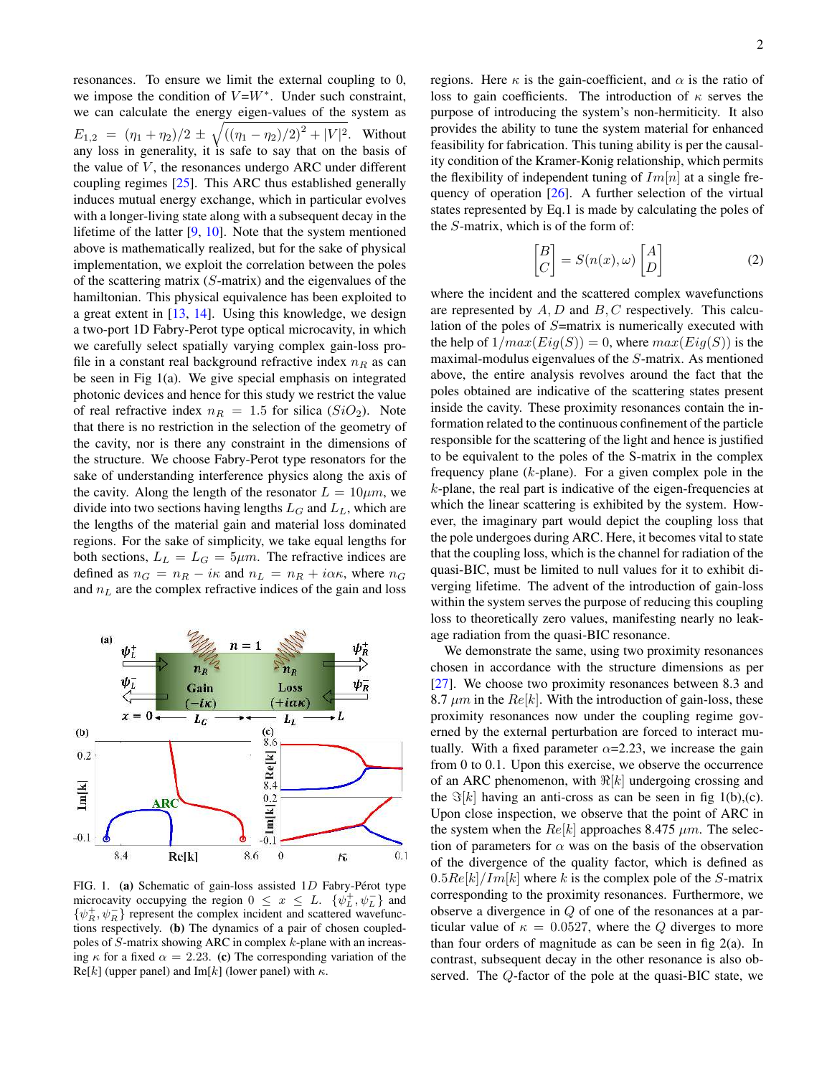resonances. To ensure we limit the external coupling to 0, we impose the condition of  $V = W^*$ . Under such constraint, we can calculate the energy eigen-values of the system as  $E_{1,2} = (\eta_1 + \eta_2)/2 \pm \sqrt{((\eta_1 - \eta_2)/2)^2 + |V|^2}$ . Without any loss in generality, it is safe to say that on the basis of the value of  $V$ , the resonances undergo ARC under different coupling regimes [25]. This ARC thus established generally induces mutual energy exchange, which in particular evolves with a longer-living state along with a subsequent decay in the lifetime of the latter [9, 10]. Note that the system mentioned above is mathematically realized, but for the sake of physical implementation, we exploit the correlation between the poles of the scattering matrix  $(S\text{-matrix})$  and the eigenvalues of the hamiltonian. This physical equivalence has been exploited to a great extent in [13, 14]. Using this knowledge, we design a two-port 1D Fabry-Perot type optical microcavity, in which we carefully select spatially varying complex gain-loss profile in a constant real background refractive index  $n<sub>R</sub>$  as can be seen in Fig 1(a). We give special emphasis on integrated photonic devices and hence for this study we restrict the value of real refractive index  $n_R = 1.5$  for silica (SiO<sub>2</sub>). Note that there is no restriction in the selection of the geometry of the cavity, nor is there any constraint in the dimensions of the structure. We choose Fabry-Perot type resonators for the sake of understanding interference physics along the axis of the cavity. Along the length of the resonator  $L = 10 \mu m$ , we divide into two sections having lengths  $L_G$  and  $L_L$ , which are the lengths of the material gain and material loss dominated regions. For the sake of simplicity, we take equal lengths for both sections,  $L_L = L_G = 5 \mu m$ . The refractive indices are defined as  $n_G = n_R - i\kappa$  and  $n_L = n_R + i\alpha\kappa$ , where  $n_G$ and  $n<sub>L</sub>$  are the complex refractive indices of the gain and loss



FIG. 1. (a) Schematic of gain-loss assisted  $1D$  Fabry-Pérot type microcavity occupying the region  $0 \le x \le L$ .  $\{\psi_L^+, \psi_L^-\}$  and  $\{\psi_R^+, \psi_R^-\}$  represent the complex incident and scattered wavefunctions respectively. (b) The dynamics of a pair of chosen coupledpoles of S-matrix showing ARC in complex k-plane with an increasing  $\kappa$  for a fixed  $\alpha = 2.23$ . (c) The corresponding variation of the  $Re[k]$  (upper panel) and Im[k] (lower panel) with  $\kappa$ .

regions. Here  $\kappa$  is the gain-coefficient, and  $\alpha$  is the ratio of loss to gain coefficients. The introduction of  $\kappa$  serves the purpose of introducing the system's non-hermiticity. It also provides the ability to tune the system material for enhanced feasibility for fabrication. This tuning ability is per the causality condition of the Kramer-Konig relationship, which permits the flexibility of independent tuning of  $Im[n]$  at a single frequency of operation [26]. A further selection of the virtual states represented by Eq.1 is made by calculating the poles of the S-matrix, which is of the form of:

$$
\begin{bmatrix} B \\ C \end{bmatrix} = S(n(x), \omega) \begin{bmatrix} A \\ D \end{bmatrix}
$$
 (2)

where the incident and the scattered complex wavefunctions are represented by  $A, D$  and  $B, C$  respectively. This calculation of the poles of S=matrix is numerically executed with the help of  $1/max(Eig(S)) = 0$ , where  $max(Eig(S))$  is the maximal-modulus eigenvalues of the S-matrix. As mentioned above, the entire analysis revolves around the fact that the poles obtained are indicative of the scattering states present inside the cavity. These proximity resonances contain the information related to the continuous confinement of the particle responsible for the scattering of the light and hence is justified to be equivalent to the poles of the S-matrix in the complex frequency plane  $(k$ -plane). For a given complex pole in the  $k$ -plane, the real part is indicative of the eigen-frequencies at which the linear scattering is exhibited by the system. However, the imaginary part would depict the coupling loss that the pole undergoes during ARC. Here, it becomes vital to state that the coupling loss, which is the channel for radiation of the quasi-BIC, must be limited to null values for it to exhibit diverging lifetime. The advent of the introduction of gain-loss within the system serves the purpose of reducing this coupling loss to theoretically zero values, manifesting nearly no leakage radiation from the quasi-BIC resonance.

We demonstrate the same, using two proximity resonances chosen in accordance with the structure dimensions as per [27]. We choose two proximity resonances between 8.3 and 8.7  $\mu$ m in the Re[k]. With the introduction of gain-loss, these proximity resonances now under the coupling regime governed by the external perturbation are forced to interact mutually. With a fixed parameter  $\alpha$ =2.23, we increase the gain from 0 to 0.1. Upon this exercise, we observe the occurrence of an ARC phenomenon, with  $\Re[k]$  undergoing crossing and the  $\Im[k]$  having an anti-cross as can be seen in fig 1(b),(c). Upon close inspection, we observe that the point of ARC in the system when the  $Re[k]$  approaches 8.475  $\mu$ m. The selection of parameters for  $\alpha$  was on the basis of the observation of the divergence of the quality factor, which is defined as  $0.5Re[k]/Im[k]$  where k is the complex pole of the S-matrix corresponding to the proximity resonances. Furthermore, we observe a divergence in Q of one of the resonances at a particular value of  $\kappa = 0.0527$ , where the Q diverges to more than four orders of magnitude as can be seen in fig 2(a). In contrast, subsequent decay in the other resonance is also observed. The Q-factor of the pole at the quasi-BIC state, we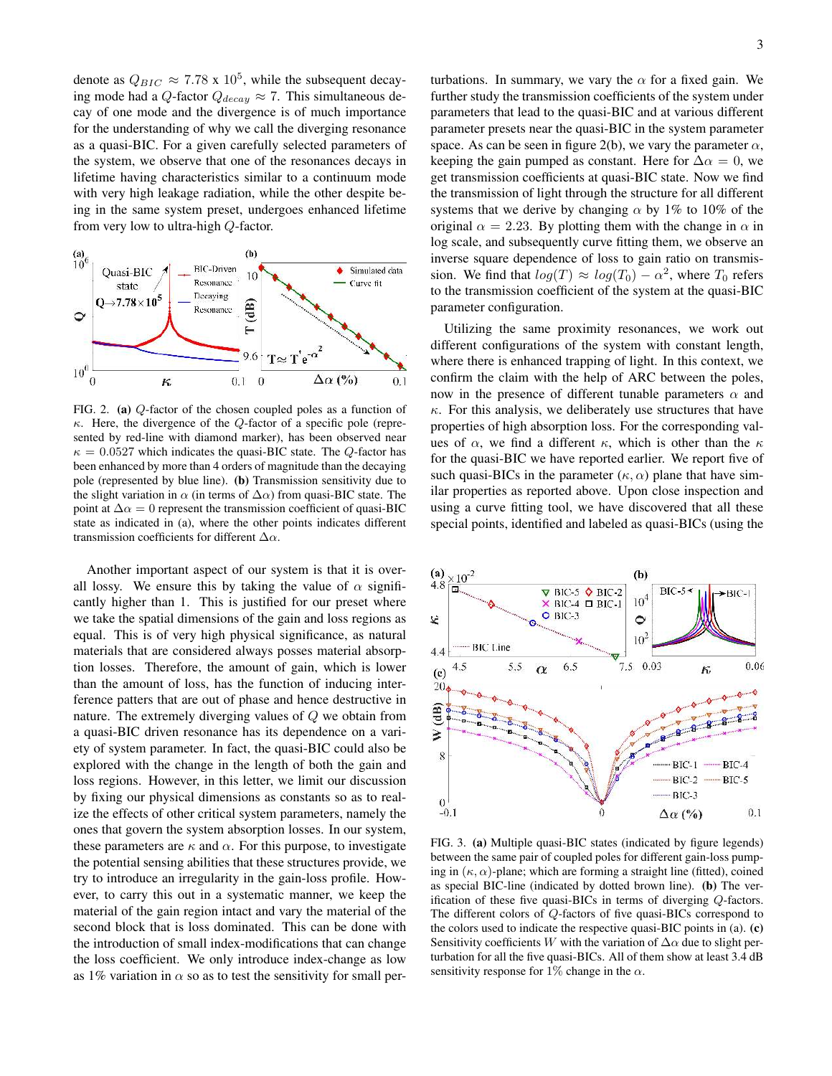denote as  $Q_{BIC} \approx 7.78 \times 10^5$ , while the subsequent decaying mode had a Q-factor  $Q_{decay} \approx 7$ . This simultaneous decay of one mode and the divergence is of much importance for the understanding of why we call the diverging resonance as a quasi-BIC. For a given carefully selected parameters of the system, we observe that one of the resonances decays in lifetime having characteristics similar to a continuum mode with very high leakage radiation, while the other despite being in the same system preset, undergoes enhanced lifetime from very low to ultra-high Q-factor.



FIG. 2. (a) Q-factor of the chosen coupled poles as a function of  $\kappa$ . Here, the divergence of the  $Q$ -factor of a specific pole (represented by red-line with diamond marker), has been observed near  $\kappa = 0.0527$  which indicates the quasi-BIC state. The Q-factor has been enhanced by more than 4 orders of magnitude than the decaying pole (represented by blue line). (b) Transmission sensitivity due to the slight variation in  $\alpha$  (in terms of  $\Delta \alpha$ ) from quasi-BIC state. The point at  $\Delta \alpha = 0$  represent the transmission coefficient of quasi-BIC state as indicated in (a), where the other points indicates different transmission coefficients for different  $\Delta \alpha$ .

Another important aspect of our system is that it is overall lossy. We ensure this by taking the value of  $\alpha$  significantly higher than 1. This is justified for our preset where we take the spatial dimensions of the gain and loss regions as equal. This is of very high physical significance, as natural materials that are considered always posses material absorption losses. Therefore, the amount of gain, which is lower than the amount of loss, has the function of inducing interference patters that are out of phase and hence destructive in nature. The extremely diverging values of Q we obtain from a quasi-BIC driven resonance has its dependence on a variety of system parameter. In fact, the quasi-BIC could also be explored with the change in the length of both the gain and loss regions. However, in this letter, we limit our discussion by fixing our physical dimensions as constants so as to realize the effects of other critical system parameters, namely the ones that govern the system absorption losses. In our system, these parameters are  $\kappa$  and  $\alpha$ . For this purpose, to investigate the potential sensing abilities that these structures provide, we try to introduce an irregularity in the gain-loss profile. However, to carry this out in a systematic manner, we keep the material of the gain region intact and vary the material of the second block that is loss dominated. This can be done with the introduction of small index-modifications that can change the loss coefficient. We only introduce index-change as low as 1% variation in  $\alpha$  so as to test the sensitivity for small perturbations. In summary, we vary the  $\alpha$  for a fixed gain. We further study the transmission coefficients of the system under parameters that lead to the quasi-BIC and at various different parameter presets near the quasi-BIC in the system parameter space. As can be seen in figure 2(b), we vary the parameter  $\alpha$ , keeping the gain pumped as constant. Here for  $\Delta \alpha = 0$ , we get transmission coefficients at quasi-BIC state. Now we find the transmission of light through the structure for all different systems that we derive by changing  $\alpha$  by 1% to 10% of the original  $\alpha = 2.23$ . By plotting them with the change in  $\alpha$  in log scale, and subsequently curve fitting them, we observe an inverse square dependence of loss to gain ratio on transmission. We find that  $log(T) \approx log(T_0) - \alpha^2$ , where  $T_0$  refers to the transmission coefficient of the system at the quasi-BIC parameter configuration.

Utilizing the same proximity resonances, we work out different configurations of the system with constant length, where there is enhanced trapping of light. In this context, we confirm the claim with the help of ARC between the poles, now in the presence of different tunable parameters  $\alpha$  and  $\kappa$ . For this analysis, we deliberately use structures that have properties of high absorption loss. For the corresponding values of  $\alpha$ , we find a different  $\kappa$ , which is other than the  $\kappa$ for the quasi-BIC we have reported earlier. We report five of such quasi-BICs in the parameter  $(\kappa, \alpha)$  plane that have similar properties as reported above. Upon close inspection and using a curve fitting tool, we have discovered that all these special points, identified and labeled as quasi-BICs (using the



FIG. 3. (a) Multiple quasi-BIC states (indicated by figure legends) between the same pair of coupled poles for different gain-loss pumping in  $(\kappa, \alpha)$ -plane; which are forming a straight line (fitted), coined as special BIC-line (indicated by dotted brown line). (b) The verification of these five quasi-BICs in terms of diverging Q-factors. The different colors of Q-factors of five quasi-BICs correspond to the colors used to indicate the respective quasi-BIC points in (a). (c) Sensitivity coefficients W with the variation of  $\Delta \alpha$  due to slight perturbation for all the five quasi-BICs. All of them show at least 3.4 dB sensitivity response for 1% change in the  $\alpha$ .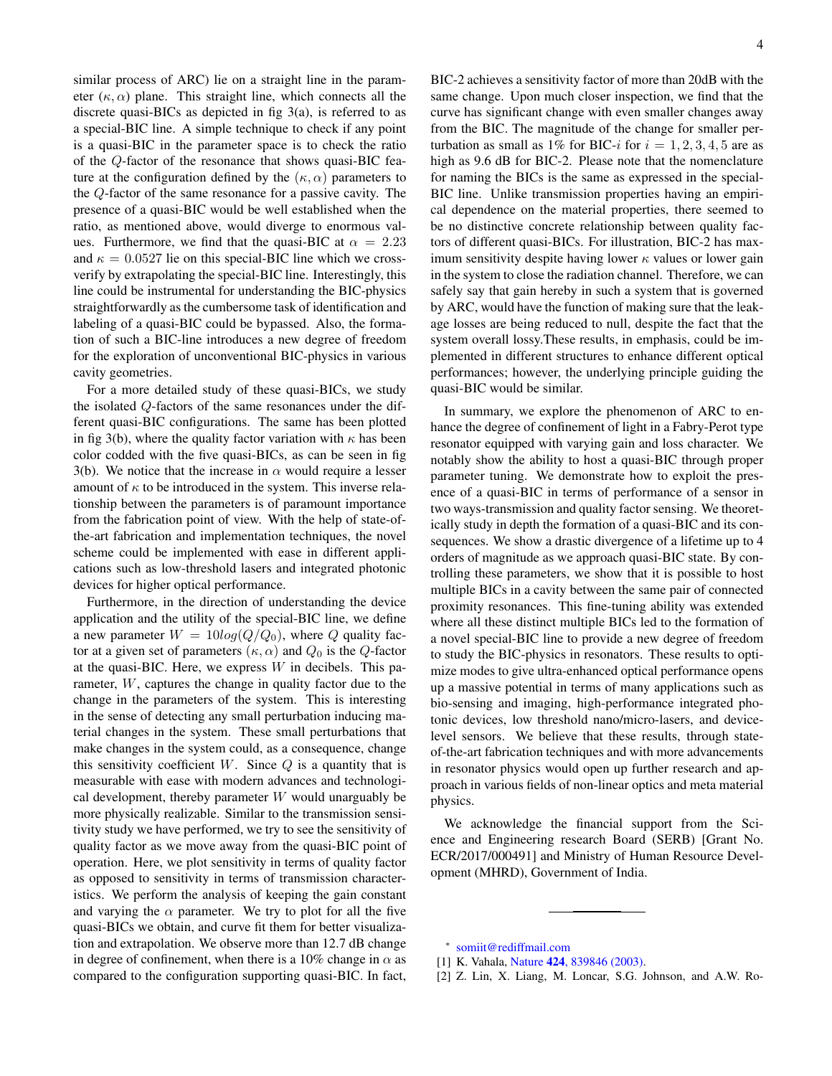similar process of ARC) lie on a straight line in the parameter  $(\kappa, \alpha)$  plane. This straight line, which connects all the discrete quasi-BICs as depicted in fig 3(a), is referred to as a special-BIC line. A simple technique to check if any point is a quasi-BIC in the parameter space is to check the ratio of the Q-factor of the resonance that shows quasi-BIC feature at the configuration defined by the  $(\kappa, \alpha)$  parameters to the Q-factor of the same resonance for a passive cavity. The presence of a quasi-BIC would be well established when the ratio, as mentioned above, would diverge to enormous values. Furthermore, we find that the quasi-BIC at  $\alpha = 2.23$ and  $\kappa = 0.0527$  lie on this special-BIC line which we crossverify by extrapolating the special-BIC line. Interestingly, this line could be instrumental for understanding the BIC-physics straightforwardly as the cumbersome task of identification and labeling of a quasi-BIC could be bypassed. Also, the formation of such a BIC-line introduces a new degree of freedom for the exploration of unconventional BIC-physics in various cavity geometries.

For a more detailed study of these quasi-BICs, we study the isolated Q-factors of the same resonances under the different quasi-BIC configurations. The same has been plotted in fig 3(b), where the quality factor variation with  $\kappa$  has been color codded with the five quasi-BICs, as can be seen in fig 3(b). We notice that the increase in  $\alpha$  would require a lesser amount of  $\kappa$  to be introduced in the system. This inverse relationship between the parameters is of paramount importance from the fabrication point of view. With the help of state-ofthe-art fabrication and implementation techniques, the novel scheme could be implemented with ease in different applications such as low-threshold lasers and integrated photonic devices for higher optical performance.

Furthermore, in the direction of understanding the device application and the utility of the special-BIC line, we define a new parameter  $W = 10log(Q/Q_0)$ , where Q quality factor at a given set of parameters  $(\kappa, \alpha)$  and  $Q_0$  is the Q-factor at the quasi-BIC. Here, we express  $W$  in decibels. This parameter, W, captures the change in quality factor due to the change in the parameters of the system. This is interesting in the sense of detecting any small perturbation inducing material changes in the system. These small perturbations that make changes in the system could, as a consequence, change this sensitivity coefficient  $W$ . Since  $Q$  is a quantity that is measurable with ease with modern advances and technological development, thereby parameter  $W$  would unarguably be more physically realizable. Similar to the transmission sensitivity study we have performed, we try to see the sensitivity of quality factor as we move away from the quasi-BIC point of operation. Here, we plot sensitivity in terms of quality factor as opposed to sensitivity in terms of transmission characteristics. We perform the analysis of keeping the gain constant and varying the  $\alpha$  parameter. We try to plot for all the five quasi-BICs we obtain, and curve fit them for better visualization and extrapolation. We observe more than 12.7 dB change in degree of confinement, when there is a 10% change in  $\alpha$  as compared to the configuration supporting quasi-BIC. In fact, BIC-2 achieves a sensitivity factor of more than 20dB with the same change. Upon much closer inspection, we find that the curve has significant change with even smaller changes away from the BIC. The magnitude of the change for smaller perturbation as small as 1% for BIC-i for  $i = 1, 2, 3, 4, 5$  are as high as 9.6 dB for BIC-2. Please note that the nomenclature for naming the BICs is the same as expressed in the special-BIC line. Unlike transmission properties having an empirical dependence on the material properties, there seemed to be no distinctive concrete relationship between quality factors of different quasi-BICs. For illustration, BIC-2 has maximum sensitivity despite having lower  $\kappa$  values or lower gain in the system to close the radiation channel. Therefore, we can safely say that gain hereby in such a system that is governed by ARC, would have the function of making sure that the leakage losses are being reduced to null, despite the fact that the system overall lossy.These results, in emphasis, could be implemented in different structures to enhance different optical performances; however, the underlying principle guiding the quasi-BIC would be similar.

In summary, we explore the phenomenon of ARC to enhance the degree of confinement of light in a Fabry-Perot type resonator equipped with varying gain and loss character. We notably show the ability to host a quasi-BIC through proper parameter tuning. We demonstrate how to exploit the presence of a quasi-BIC in terms of performance of a sensor in two ways-transmission and quality factor sensing. We theoretically study in depth the formation of a quasi-BIC and its consequences. We show a drastic divergence of a lifetime up to 4 orders of magnitude as we approach quasi-BIC state. By controlling these parameters, we show that it is possible to host multiple BICs in a cavity between the same pair of connected proximity resonances. This fine-tuning ability was extended where all these distinct multiple BICs led to the formation of a novel special-BIC line to provide a new degree of freedom to study the BIC-physics in resonators. These results to optimize modes to give ultra-enhanced optical performance opens up a massive potential in terms of many applications such as bio-sensing and imaging, high-performance integrated photonic devices, low threshold nano/micro-lasers, and devicelevel sensors. We believe that these results, through stateof-the-art fabrication techniques and with more advancements in resonator physics would open up further research and approach in various fields of non-linear optics and meta material physics.

We acknowledge the financial support from the Science and Engineering research Board (SERB) [Grant No. ECR/2017/000491] and Ministry of Human Resource Development (MHRD), Government of India.

<sup>∗</sup> somiit@rediffmail.com

<sup>[1]</sup> K. Vahala, Nature **424**, 839846 (2003).

<sup>[2]</sup> Z. Lin, X. Liang, M. Loncar, S.G. Johnson, and A.W. Ro-